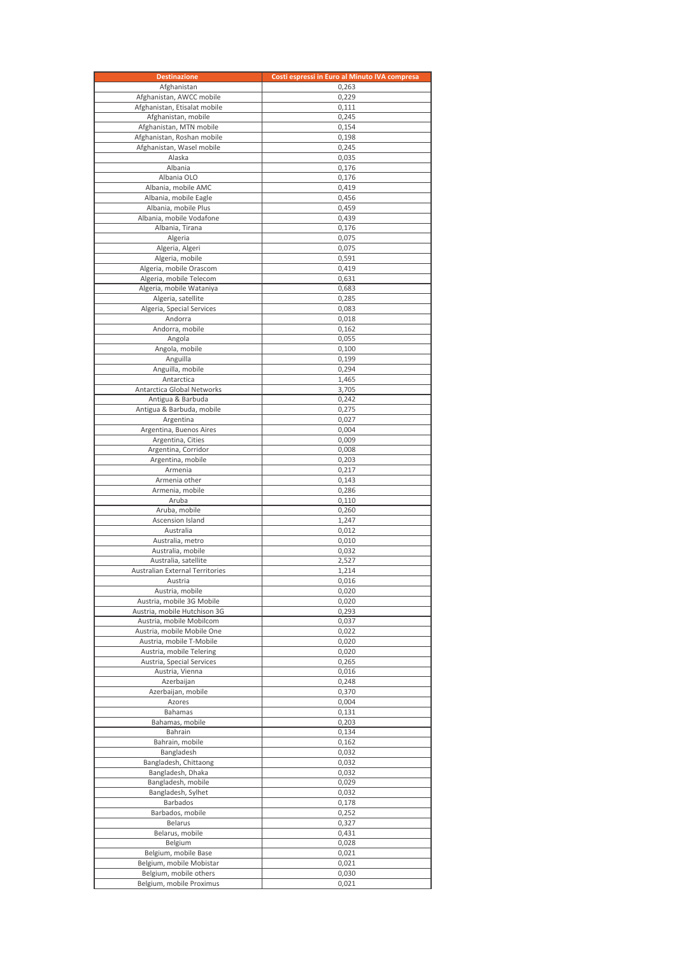| <b>Destinazione</b>                                 | Costi espressi in Euro al Minuto IVA compresa |
|-----------------------------------------------------|-----------------------------------------------|
| Afghanistan                                         | 0,263                                         |
| Afghanistan, AWCC mobile                            | 0,229                                         |
| Afghanistan, Etisalat mobile<br>Afghanistan, mobile | 0,111<br>0,245                                |
| Afghanistan, MTN mobile                             | 0,154                                         |
| Afghanistan, Roshan mobile                          | 0,198                                         |
| Afghanistan, Wasel mobile                           | 0,245                                         |
| Alaska                                              | 0,035                                         |
| Albania                                             | 0,176                                         |
| Albania OLO                                         | 0,176                                         |
| Albania, mobile AMC<br>Albania, mobile Eagle        | 0,419<br>0,456                                |
| Albania, mobile Plus                                | 0,459                                         |
| Albania, mobile Vodafone                            | 0,439                                         |
| Albania, Tirana                                     | 0,176                                         |
| Algeria                                             | 0,075                                         |
| Algeria, Algeri                                     | 0,075                                         |
| Algeria, mobile                                     | 0,591                                         |
| Algeria, mobile Orascom<br>Algeria, mobile Telecom  | 0,419<br>0,631                                |
| Algeria, mobile Wataniya                            | 0,683                                         |
| Algeria, satellite                                  | 0,285                                         |
| Algeria, Special Services                           | 0,083                                         |
| Andorra                                             | 0,018                                         |
| Andorra, mobile                                     | 0,162                                         |
| Angola                                              | 0,055                                         |
| Angola, mobile<br>Anguilla                          | 0,100<br>0,199                                |
| Anguilla, mobile                                    | 0,294                                         |
| Antarctica                                          | 1,465                                         |
| Antarctica Global Networks                          | 3,705                                         |
| Antigua & Barbuda                                   | 0,242                                         |
| Antigua & Barbuda, mobile                           | 0,275                                         |
| Argentina                                           | 0,027                                         |
| Argentina, Buenos Aires<br>Argentina, Cities        | 0,004<br>0,009                                |
| Argentina, Corridor                                 | 0,008                                         |
| Argentina, mobile                                   | 0,203                                         |
| Armenia                                             | 0,217                                         |
| Armenia other                                       | 0,143                                         |
| Armenia, mobile                                     | 0,286                                         |
| Aruba                                               | 0,110                                         |
| Aruba, mobile<br>Ascension Island                   | 0,260<br>1,247                                |
| Australia                                           | 0,012                                         |
| Australia, metro                                    | 0,010                                         |
| Australia, mobile                                   | 0,032                                         |
| Australia, satellite                                | 2,527                                         |
| Australian External Territories                     | 1,214                                         |
| Austria                                             | 0,016                                         |
| Austria, mobile<br>Austria, mobile 3G Mobile        | 0,020<br>0,020                                |
| Austria, mobile Hutchison 3G                        | 0,293                                         |
| Austria, mobile Mobilcom                            | 0,037                                         |
| Austria, mobile Mobile One                          | 0,022                                         |
| Austria, mobile T-Mobile                            | 0,020                                         |
| Austria, mobile Telering                            | 0,020                                         |
| Austria, Special Services<br>Austria, Vienna        | 0,265                                         |
| Azerbaijan                                          | 0,016<br>0,248                                |
| Azerbaijan, mobile                                  | 0,370                                         |
| Azores                                              | 0,004                                         |
| Bahamas                                             | 0,131                                         |
| Bahamas, mobile                                     | 0,203                                         |
| Bahrain                                             | 0,134                                         |
| Bahrain, mobile                                     | 0,162                                         |
| Bangladesh<br>Bangladesh, Chittaong                 | 0,032<br>0,032                                |
| Bangladesh, Dhaka                                   | 0,032                                         |
| Bangladesh, mobile                                  | 0,029                                         |
| Bangladesh, Sylhet                                  | 0,032                                         |
| Barbados                                            | 0,178                                         |
| Barbados, mobile                                    | 0,252                                         |
| Belarus<br>Belarus, mobile                          | 0,327<br>0,431                                |
| Belgium                                             | 0,028                                         |
| Belgium, mobile Base                                | 0,021                                         |
| Belgium, mobile Mobistar                            | 0,021                                         |
| Belgium, mobile others                              | 0,030                                         |
| Belgium, mobile Proximus                            | 0,021                                         |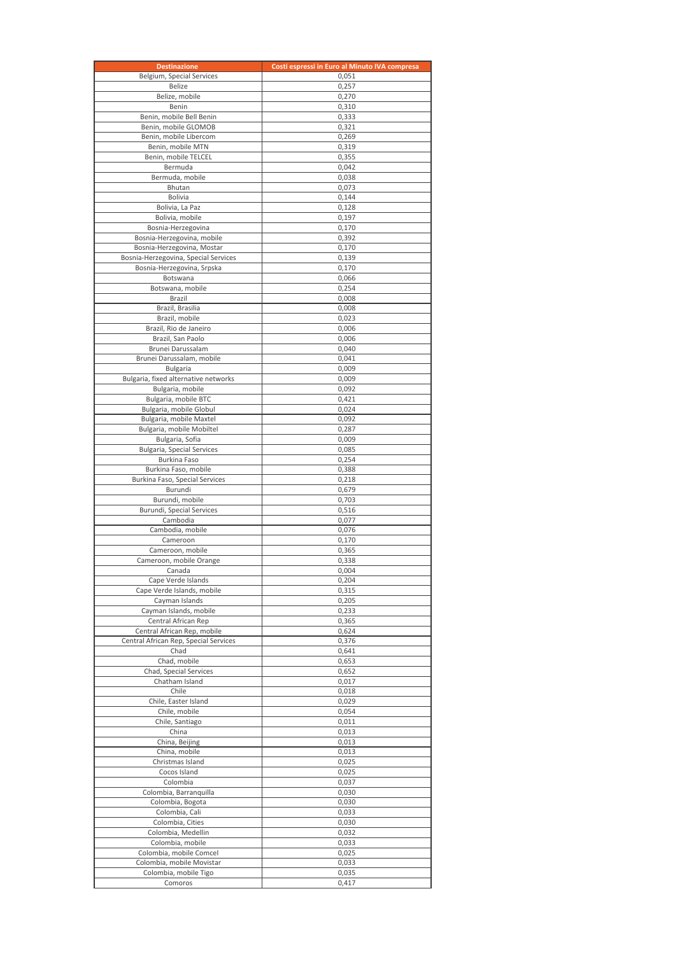| <b>Destinazione</b>                                                | Costi espressi in Euro al Minuto IVA compresa |
|--------------------------------------------------------------------|-----------------------------------------------|
| Belgium, Special Services                                          | 0,051                                         |
| Belize                                                             | 0,257                                         |
| Belize, mobile                                                     | 0,270                                         |
| Benin                                                              | 0,310                                         |
| Benin, mobile Bell Benin<br>Benin, mobile GLOMOB                   | 0,333                                         |
| Benin, mobile Libercom                                             | 0,321<br>0,269                                |
| Benin, mobile MTN                                                  | 0,319                                         |
| Benin, mobile TELCEL                                               | 0,355                                         |
| Bermuda                                                            | 0,042                                         |
| Bermuda, mobile                                                    | 0,038                                         |
| Bhutan                                                             | 0,073                                         |
| Bolivia                                                            | 0,144                                         |
| Bolivia, La Paz                                                    | 0,128                                         |
| Bolivia, mobile                                                    | 0,197                                         |
| Bosnia-Herzegovina                                                 | 0,170                                         |
| Bosnia-Herzegovina, mobile                                         | 0,392                                         |
| Bosnia-Herzegovina, Mostar<br>Bosnia-Herzegovina, Special Services | 0,170<br>0,139                                |
| Bosnia-Herzegovina, Srpska                                         | 0,170                                         |
| Botswana                                                           | 0,066                                         |
| Botswana, mobile                                                   | 0,254                                         |
| Brazil                                                             | 0,008                                         |
| Brazil, Brasilia                                                   | 0,008                                         |
| Brazil, mobile                                                     | 0,023                                         |
| Brazil, Rio de Janeiro                                             | 0,006                                         |
| Brazil, San Paolo                                                  | 0,006                                         |
| Brunei Darussalam                                                  | 0,040                                         |
| Brunei Darussalam, mobile                                          | 0,041                                         |
| Bulgaria                                                           | 0,009                                         |
| Bulgaria, fixed alternative networks                               | 0,009                                         |
| Bulgaria, mobile<br>Bulgaria, mobile BTC                           | 0,092<br>0,421                                |
| Bulgaria, mobile Globul                                            | 0,024                                         |
| Bulgaria, mobile Maxtel                                            | 0,092                                         |
| Bulgaria, mobile Mobiltel                                          | 0,287                                         |
| Bulgaria, Sofia                                                    | 0,009                                         |
| <b>Bulgaria, Special Services</b>                                  | 0,085                                         |
| Burkina Faso                                                       | 0,254                                         |
| Burkina Faso, mobile                                               | 0,388                                         |
| Burkina Faso, Special Services                                     | 0,218                                         |
| Burundi                                                            | 0,679                                         |
| Burundi, mobile                                                    | 0,703                                         |
| Burundi, Special Services<br>Cambodia                              | 0,516<br>0,077                                |
| Cambodia, mobile                                                   | 0,076                                         |
| Cameroon                                                           | 0,170                                         |
| Cameroon, mobile                                                   | 0,365                                         |
| Cameroon, mobile Orange                                            | 0,338                                         |
| Canada                                                             | 0,004                                         |
| Cape Verde Islands                                                 | 0,204                                         |
| Cape Verde Islands, mobile                                         | 0,315                                         |
| Cayman Islands                                                     | 0,205                                         |
| Cayman Islands, mobile                                             | 0,233                                         |
| Central African Rep<br>Central African Rep, mobile                 | 0,365                                         |
| Central African Rep, Special Services                              | 0,624<br>0,376                                |
| Chad                                                               | 0,641                                         |
| Chad, mobile                                                       | 0,653                                         |
| Chad, Special Services                                             | 0,652                                         |
| Chatham Island                                                     | 0,017                                         |
| Chile                                                              | 0,018                                         |
| Chile, Easter Island                                               | 0,029                                         |
| Chile, mobile                                                      | 0,054                                         |
| Chile, Santiago                                                    | 0,011                                         |
| China                                                              | 0,013                                         |
| China, Beijing                                                     | 0,013                                         |
| China, mobile<br>Christmas Island                                  | 0,013                                         |
| Cocos Island                                                       | 0,025<br>0,025                                |
| Colombia                                                           | 0,037                                         |
| Colombia, Barranquilla                                             | 0,030                                         |
| Colombia, Bogota                                                   | 0,030                                         |
| Colombia, Cali                                                     | 0,033                                         |
| Colombia, Cities                                                   | 0,030                                         |
| Colombia, Medellin                                                 | 0,032                                         |
| Colombia, mobile                                                   | 0,033                                         |
| Colombia, mobile Comcel                                            | 0,025                                         |
| Colombia, mobile Movistar                                          | 0,033                                         |
| Colombia, mobile Tigo                                              | 0,035                                         |
| Comoros                                                            | 0,417                                         |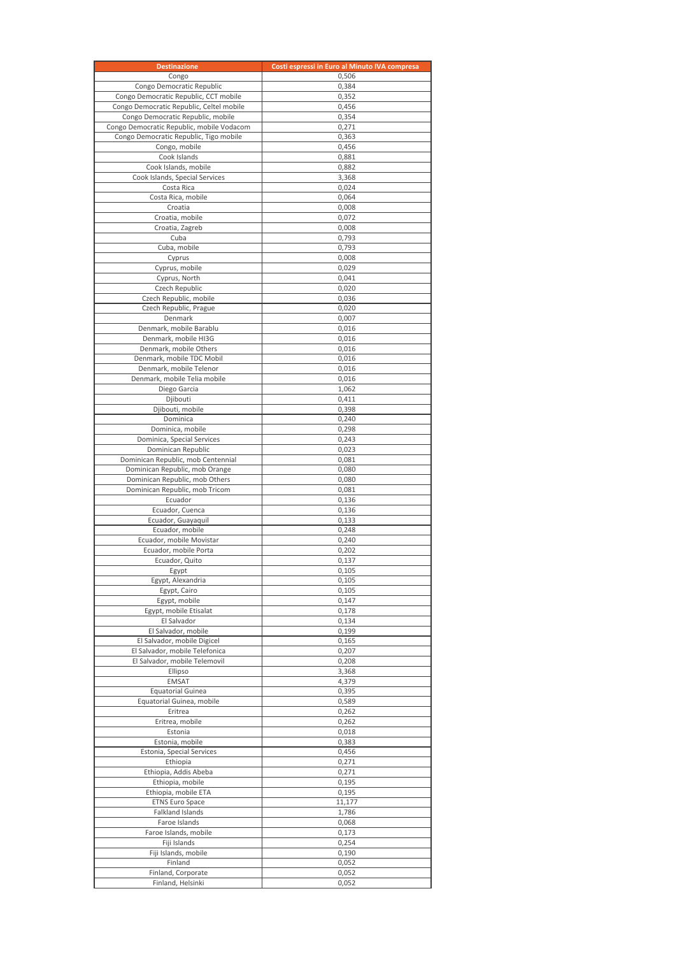| <b>Destinazione</b>                                                               | Costi espressi in Euro al Minuto IVA compresa |
|-----------------------------------------------------------------------------------|-----------------------------------------------|
| Congo                                                                             | 0,506                                         |
| Congo Democratic Republic                                                         | 0,384                                         |
| Congo Democratic Republic, CCT mobile<br>Congo Democratic Republic, Celtel mobile | 0,352<br>0,456                                |
| Congo Democratic Republic, mobile                                                 | 0,354                                         |
| Congo Democratic Republic, mobile Vodacom                                         | 0,271                                         |
| Congo Democratic Republic, Tigo mobile                                            | 0,363                                         |
| Congo, mobile                                                                     | 0,456                                         |
| Cook Islands                                                                      | 0,881                                         |
| Cook Islands, mobile                                                              | 0,882                                         |
| Cook Islands, Special Services<br>Costa Rica                                      | 3,368<br>0,024                                |
| Costa Rica, mobile                                                                | 0,064                                         |
| Croatia                                                                           | 0,008                                         |
| Croatia, mobile                                                                   | 0,072                                         |
| Croatia, Zagreb                                                                   | 0,008                                         |
| Cuba<br>Cuba, mobile                                                              | 0,793<br>0,793                                |
| Cyprus                                                                            | 0,008                                         |
| Cyprus, mobile                                                                    | 0,029                                         |
| Cyprus, North                                                                     | 0,041                                         |
| Czech Republic                                                                    | 0,020                                         |
| Czech Republic, mobile                                                            | 0,036                                         |
| Czech Republic, Prague                                                            | 0,020                                         |
| Denmark<br>Denmark, mobile Barablu                                                | 0,007<br>0.016                                |
| Denmark, mobile HI3G                                                              | 0,016                                         |
| Denmark, mobile Others                                                            | 0,016                                         |
| Denmark, mobile TDC Mobil                                                         | 0,016                                         |
| Denmark, mobile Telenor                                                           | 0,016                                         |
| Denmark, mobile Telia mobile                                                      | 0,016                                         |
| Diego Garcia<br>Djibouti                                                          | 1,062<br>0,411                                |
| Djibouti, mobile                                                                  | 0,398                                         |
| Dominica                                                                          | 0,240                                         |
| Dominica, mobile                                                                  | 0,298                                         |
| Dominica, Special Services                                                        | 0,243                                         |
| Dominican Republic                                                                | 0,023                                         |
| Dominican Republic, mob Centennial<br>Dominican Republic, mob Orange              | 0,081<br>0,080                                |
| Dominican Republic, mob Others                                                    | 0,080                                         |
| Dominican Republic, mob Tricom                                                    | 0,081                                         |
| Ecuador                                                                           | 0,136                                         |
| Ecuador, Cuenca                                                                   | 0,136                                         |
| Ecuador, Guayaquil<br>Ecuador, mobile                                             | 0,133                                         |
| Ecuador, mobile Movistar                                                          | 0,248<br>0,240                                |
| Ecuador, mobile Porta                                                             | 0,202                                         |
| Ecuador, Quito                                                                    | 0,137                                         |
| Egypt                                                                             | 0,105                                         |
| Egypt, Alexandria                                                                 | 0,105                                         |
| Egypt, Cairo                                                                      | 0,105                                         |
| Egypt, mobile<br>Egypt, mobile Etisalat                                           | 0,147<br>0,178                                |
| El Salvador                                                                       | 0,134                                         |
| El Salvador, mobile                                                               | 0,199                                         |
| El Salvador, mobile Digicel                                                       | 0,165                                         |
| El Salvador, mobile Telefonica                                                    | 0,207                                         |
| El Salvador, mobile Telemovil                                                     | 0,208<br>3,368                                |
| Ellipso<br><b>EMSAT</b>                                                           | 4,379                                         |
| <b>Equatorial Guinea</b>                                                          | 0,395                                         |
| Equatorial Guinea, mobile                                                         | 0,589                                         |
| Eritrea                                                                           | 0,262                                         |
| Eritrea, mobile                                                                   | 0,262                                         |
| Estonia                                                                           | 0,018                                         |
| Estonia, mobile<br>Estonia, Special Services                                      | 0,383<br>0,456                                |
| Ethiopia                                                                          | 0,271                                         |
| Ethiopia, Addis Abeba                                                             | 0,271                                         |
| Ethiopia, mobile                                                                  | 0,195                                         |
| Ethiopia, mobile ETA                                                              | 0,195                                         |
| <b>ETNS Euro Space</b>                                                            | 11,177                                        |
| Falkland Islands<br>Faroe Islands                                                 | 1,786<br>0,068                                |
| Faroe Islands, mobile                                                             | 0,173                                         |
| Fiji Islands                                                                      | 0,254                                         |
| Fiji Islands, mobile                                                              | 0,190                                         |
| Finland                                                                           | 0,052                                         |
| Finland, Corporate<br>Finland, Helsinki                                           | 0,052<br>0,052                                |
|                                                                                   |                                               |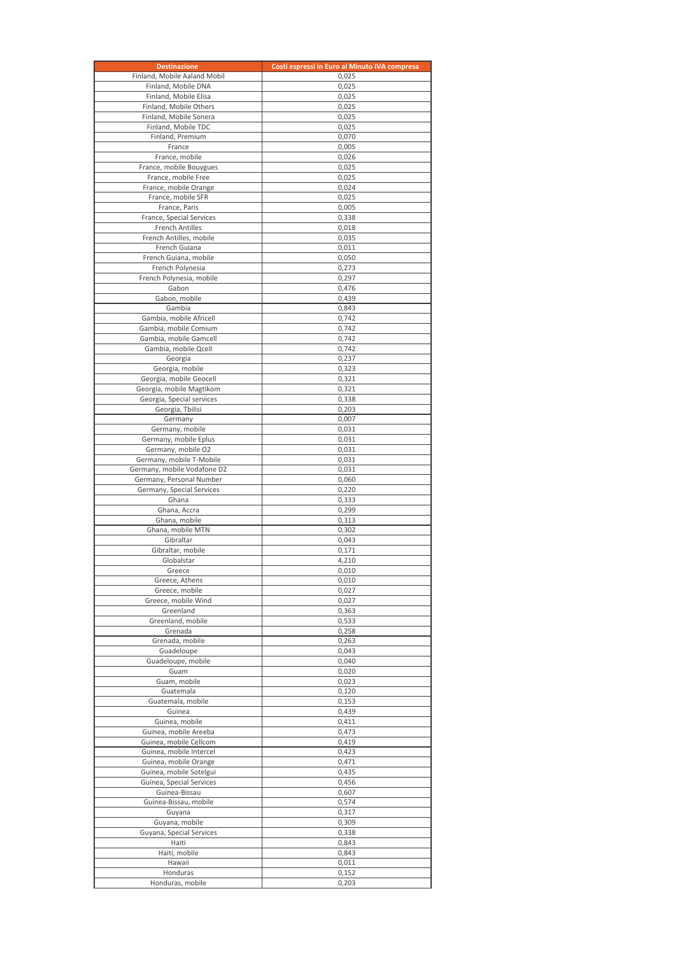| <b>Destinazione</b>                               | Costi espressi in Euro al Minuto IVA compresa |
|---------------------------------------------------|-----------------------------------------------|
| Finland, Mobile Aaland Mobil                      | 0,025                                         |
| Finland, Mobile DNA                               | 0,025                                         |
| Finland, Mobile Elisa<br>Finland, Mobile Others   | 0,025<br>0,025                                |
| Finland, Mobile Sonera                            | 0,025                                         |
| Finland, Mobile TDC                               | 0,025                                         |
| Finland, Premium                                  | 0,070                                         |
| France                                            | 0,005                                         |
| France, mobile                                    | 0,026                                         |
| France, mobile Bouygues<br>France, mobile Free    | 0,025<br>0,025                                |
| France, mobile Orange                             | 0,024                                         |
| France, mobile SFR                                | 0,025                                         |
| France, Paris                                     | 0.005                                         |
| France, Special Services                          | 0,338                                         |
| <b>French Antilles</b><br>French Antilles, mobile | 0,018<br>0,035                                |
| French Guiana                                     | 0,011                                         |
| French Guiana, mobile                             | 0,050                                         |
| French Polynesia                                  | 0,273                                         |
| French Polynesia, mobile                          | 0,297                                         |
| Gabon<br>Gabon, mobile                            | 0,476<br>0,439                                |
| Gambia                                            | 0,843                                         |
| Gambia, mobile Africell                           | 0,742                                         |
| Gambia, mobile Comium                             | 0,742                                         |
| Gambia, mobile Gamcell                            | 0,742                                         |
| Gambia, mobile Qcell                              | 0.742                                         |
| Georgia<br>Georgia, mobile                        | 0,237<br>0,323                                |
| Georgia, mobile Geocell                           | 0,321                                         |
| Georgia, mobile Magtikom                          | 0,321                                         |
| Georgia, Special services                         | 0,338                                         |
| Georgia, Tbilisi                                  | 0,203                                         |
| Germany                                           | 0,007                                         |
| Germany, mobile<br>Germany, mobile Eplus          | 0,031<br>0,031                                |
| Germany, mobile O2                                | 0,031                                         |
| Germany, mobile T-Mobile                          | 0,031                                         |
| Germany, mobile Vodafone D2                       | 0,031                                         |
| Germany, Personal Number                          | 0,060                                         |
| Germany, Special Services<br>Ghana                | 0,220<br>0,333                                |
| Ghana, Accra                                      | 0,299                                         |
| Ghana, mobile                                     | 0,313                                         |
| Ghana, mobile MTN                                 | 0,302                                         |
| Gibraltar                                         | 0,043                                         |
| Gibraltar, mobile<br>Globalstar                   | 0,171<br>4,210                                |
| Greece                                            | 0,010                                         |
| Greece, Athens                                    | 0,010                                         |
| Greece, mobile                                    | 0,027                                         |
| Greece, mobile Wind                               | 0,027                                         |
| Greenland<br>Greenland, mobile                    | 0,363<br>0,533                                |
| Grenada                                           | 0,258                                         |
| Grenada, mobile                                   | 0,263                                         |
| Guadeloupe                                        | 0,043                                         |
| Guadeloupe, mobile                                | 0,040                                         |
| Guam<br>Guam, mobile                              | 0,020                                         |
| Guatemala                                         | 0,023<br>0,120                                |
| Guatemala, mobile                                 | 0,153                                         |
| Guinea                                            | 0,439                                         |
| Guinea, mobile                                    | 0,411                                         |
| Guinea, mobile Areeba                             | 0,473                                         |
| Guinea, mobile Cellcom<br>Guinea, mobile Intercel | 0,419<br>0,423                                |
| Guinea, mobile Orange                             | 0,471                                         |
| Guinea, mobile Sotelgui                           | 0,435                                         |
| Guinea, Special Services                          | 0,456                                         |
| Guinea-Bissau                                     | 0,607                                         |
| Guinea-Bissau, mobile                             | 0,574                                         |
| Guyana<br>Guyana, mobile                          | 0,317<br>0,309                                |
| Guyana, Special Services                          | 0,338                                         |
| Haiti                                             | 0,843                                         |
| Haiti, mobile                                     | 0,843                                         |
| Hawaii                                            | 0,011                                         |
| Honduras<br>Honduras, mobile                      | 0,152<br>0,203                                |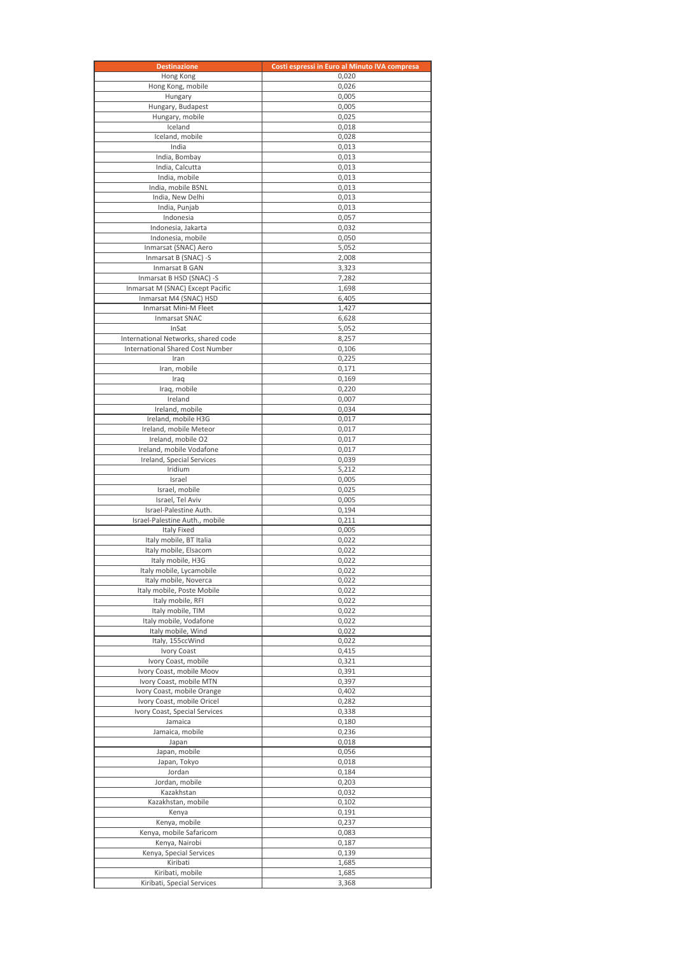| <b>Destinazione</b>                                      | Costi espressi in Euro al Minuto IVA compresa |
|----------------------------------------------------------|-----------------------------------------------|
| Hong Kong                                                | 0,020                                         |
| Hong Kong, mobile                                        | 0,026                                         |
| Hungary<br>Hungary, Budapest                             | 0,005<br>0,005                                |
| Hungary, mobile                                          | 0,025                                         |
| Iceland                                                  | 0,018                                         |
| Iceland, mobile                                          | 0,028                                         |
| India                                                    | 0,013                                         |
| India, Bombay                                            | 0,013                                         |
| India, Calcutta<br>India, mobile                         | 0,013<br>0,013                                |
| India, mobile BSNL                                       | 0,013                                         |
| India, New Delhi                                         | 0,013                                         |
| India, Punjab                                            | 0,013                                         |
| Indonesia                                                | 0,057                                         |
| Indonesia, Jakarta<br>Indonesia, mobile                  | 0,032                                         |
| Inmarsat (SNAC) Aero                                     | 0,050<br>5,052                                |
| Inmarsat B (SNAC) -S                                     | 2,008                                         |
| Inmarsat B GAN                                           | 3,323                                         |
| Inmarsat B HSD (SNAC) -S                                 | 7,282                                         |
| Inmarsat M (SNAC) Except Pacific                         | 1,698                                         |
| Inmarsat M4 (SNAC) HSD<br>Inmarsat Mini-M Fleet          | 6,405<br>1,427                                |
| <b>Inmarsat SNAC</b>                                     | 6,628                                         |
| InSat                                                    | 5,052                                         |
| International Networks, shared code                      | 8,257                                         |
| <b>International Shared Cost Number</b>                  | 0,106                                         |
| Iran                                                     | 0,225                                         |
| Iran, mobile<br>Iraq                                     | 0,171<br>0,169                                |
| Iraq, mobile                                             | 0,220                                         |
| Ireland                                                  | 0,007                                         |
| Ireland, mobile                                          | 0,034                                         |
| Ireland, mobile H3G                                      | 0,017                                         |
| Ireland, mobile Meteor                                   | 0,017                                         |
| Ireland, mobile O2<br>Ireland, mobile Vodafone           | 0,017<br>0,017                                |
| Ireland, Special Services                                | 0,039                                         |
| Iridium                                                  | 5,212                                         |
| Israel                                                   | 0,005                                         |
| Israel, mobile                                           | 0,025                                         |
| Israel, Tel Aviv                                         | 0,005                                         |
| Israel-Palestine Auth.<br>Israel-Palestine Auth., mobile | 0,194<br>0,211                                |
| Italy Fixed                                              | 0,005                                         |
| Italy mobile, BT Italia                                  | 0,022                                         |
| Italy mobile, Elsacom                                    | 0,022                                         |
| Italy mobile, H3G                                        | 0,022                                         |
| Italy mobile, Lycamobile<br>Italy mobile, Noverca        | 0,022<br>0,022                                |
| Italy mobile, Poste Mobile                               | 0,022                                         |
| Italy mobile, RFI                                        | 0,022                                         |
| Italy mobile, TIM                                        | 0,022                                         |
| Italy mobile, Vodafone                                   | 0,022                                         |
| Italy mobile, Wind                                       | 0,022                                         |
| Italy, 155ccWind<br>Ivory Coast                          | 0,022<br>0,415                                |
| Ivory Coast, mobile                                      | 0,321                                         |
| Ivory Coast, mobile Moov                                 | 0,391                                         |
| Ivory Coast, mobile MTN                                  | 0,397                                         |
| Ivory Coast, mobile Orange                               | 0,402                                         |
| Ivory Coast, mobile Oricel                               | 0,282                                         |
| Ivory Coast, Special Services<br>Jamaica                 | 0,338<br>0,180                                |
| Jamaica, mobile                                          | 0,236                                         |
| Japan                                                    | 0,018                                         |
| Japan, mobile                                            | 0,056                                         |
| Japan, Tokyo                                             | 0,018                                         |
| Jordan                                                   | 0,184                                         |
| Jordan, mobile<br>Kazakhstan                             | 0,203<br>0,032                                |
| Kazakhstan, mobile                                       | 0,102                                         |
| Kenya                                                    | 0,191                                         |
| Kenya, mobile                                            | 0,237                                         |
| Kenya, mobile Safaricom                                  | 0,083                                         |
| Kenya, Nairobi<br>Kenya, Special Services                | 0,187<br>0,139                                |
| Kiribati                                                 | 1,685                                         |
| Kiribati, mobile                                         | 1,685                                         |
| Kiribati, Special Services                               | 3,368                                         |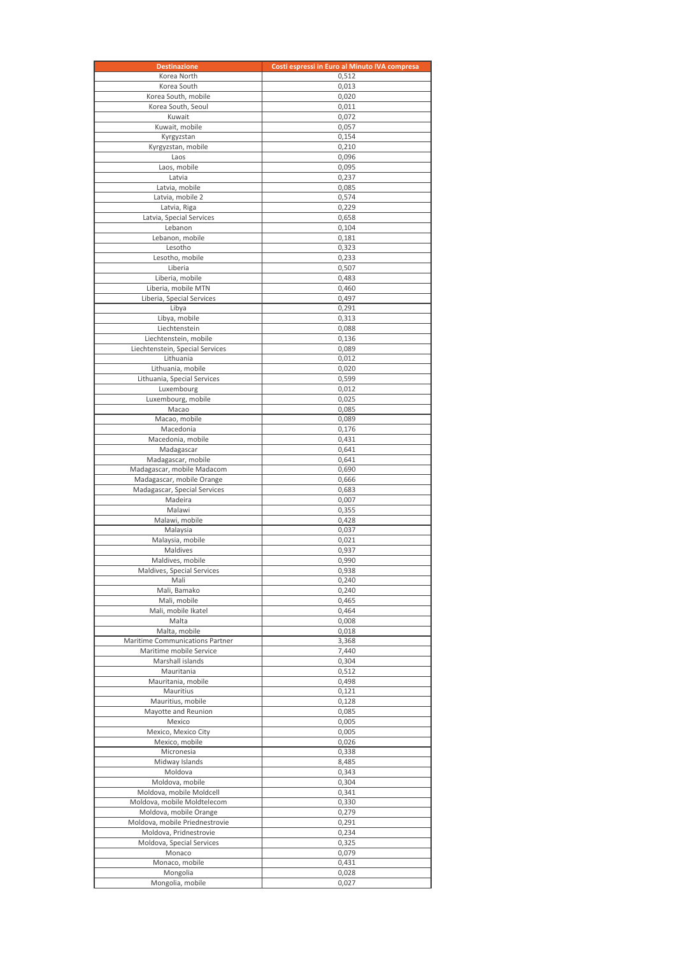| <b>Destinazione</b>                                      | Costi espressi in Euro al Minuto IVA compresa |
|----------------------------------------------------------|-----------------------------------------------|
| Korea North                                              | 0,512                                         |
| Korea South                                              | 0,013                                         |
| Korea South, mobile<br>Korea South, Seoul                | 0,020<br>0,011                                |
| Kuwait                                                   | 0,072                                         |
| Kuwait, mobile                                           | 0,057                                         |
| Kyrgyzstan                                               | 0,154                                         |
| Kyrgyzstan, mobile                                       | 0,210                                         |
| Laos                                                     | 0,096                                         |
| Laos, mobile<br>Latvia                                   | 0,095                                         |
| Latvia, mobile                                           | 0,237<br>0,085                                |
| Latvia, mobile 2                                         | 0,574                                         |
| Latvia, Riga                                             | 0,229                                         |
| Latvia, Special Services                                 | 0,658                                         |
| Lebanon                                                  | 0,104                                         |
| Lebanon, mobile<br>Lesotho                               | 0,181<br>0,323                                |
| Lesotho, mobile                                          | 0,233                                         |
| Liberia                                                  | 0,507                                         |
| Liberia, mobile                                          | 0,483                                         |
| Liberia, mobile MTN                                      | 0,460                                         |
| Liberia, Special Services                                | 0,497                                         |
| Libya                                                    | 0,291                                         |
| Libya, mobile<br>Liechtenstein                           | 0,313<br>0,088                                |
| Liechtenstein, mobile                                    | 0,136                                         |
| Liechtenstein, Special Services                          | 0,089                                         |
| Lithuania                                                | 0,012                                         |
| Lithuania, mobile                                        | 0,020                                         |
| Lithuania, Special Services                              | 0,599                                         |
| Luxembourg<br>Luxembourg, mobile                         | 0,012                                         |
| Macao                                                    | 0,025<br>0,085                                |
| Macao, mobile                                            | 0,089                                         |
| Macedonia                                                | 0,176                                         |
| Macedonia, mobile                                        | 0,431                                         |
| Madagascar                                               | 0,641                                         |
| Madagascar, mobile                                       | 0,641                                         |
| Madagascar, mobile Madacom<br>Madagascar, mobile Orange  | 0,690<br>0,666                                |
| Madagascar, Special Services                             | 0,683                                         |
| Madeira                                                  | 0,007                                         |
| Malawi                                                   | 0,355                                         |
| Malawi, mobile                                           | 0,428                                         |
| Malaysia                                                 | 0,037                                         |
| Malaysia, mobile<br>Maldives                             | 0,021<br>0,937                                |
| Maldives, mobile                                         | 0,990                                         |
| Maldives, Special Services                               | 0,938                                         |
| Mali                                                     | 0,240                                         |
| Mali, Bamako                                             | 0,240                                         |
| Mali, mobile<br>Mali, mobile Ikatel                      | 0,465                                         |
| Malta                                                    | 0,464<br>0,008                                |
| Malta, mobile                                            | 0,018                                         |
| Maritime Communications Partner                          | 3,368                                         |
| Maritime mobile Service                                  | 7,440                                         |
| Marshall islands                                         | 0,304                                         |
| Mauritania                                               | 0,512                                         |
| Mauritania, mobile<br>Mauritius                          | 0,498<br>0,121                                |
| Mauritius, mobile                                        | 0,128                                         |
| Mayotte and Reunion                                      | 0,085                                         |
| Mexico                                                   | 0,005                                         |
| Mexico, Mexico City                                      | 0,005                                         |
| Mexico, mobile                                           | 0,026                                         |
| Micronesia<br>Midway Islands                             | 0,338<br>8,485                                |
| Moldova                                                  | 0,343                                         |
| Moldova, mobile                                          | 0,304                                         |
| Moldova, mobile Moldcell                                 | 0,341                                         |
| Moldova, mobile Moldtelecom                              | 0,330                                         |
| Moldova, mobile Orange                                   | 0,279                                         |
| Moldova, mobile Priednestrovie<br>Moldova, Pridnestrovie | 0,291<br>0,234                                |
| Moldova, Special Services                                | 0,325                                         |
| Monaco                                                   | 0,079                                         |
| Monaco, mobile                                           | 0,431                                         |
| Mongolia                                                 | 0,028                                         |
| Mongolia, mobile                                         | 0,027                                         |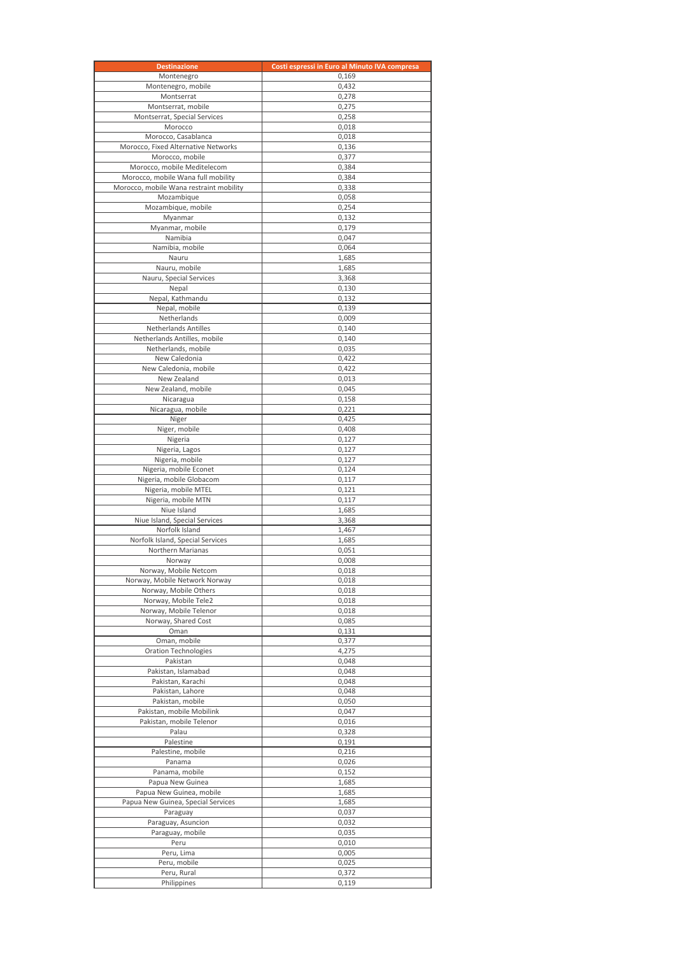| <b>Destinazione</b>                                               | Costi espressi in Euro al Minuto IVA compresa |
|-------------------------------------------------------------------|-----------------------------------------------|
| Montenegro                                                        | 0,169                                         |
| Montenegro, mobile                                                | 0,432                                         |
| Montserrat<br>Montserrat, mobile                                  | 0,278<br>0,275                                |
| Montserrat, Special Services                                      | 0,258                                         |
| Morocco                                                           | 0,018                                         |
| Morocco, Casablanca                                               | 0,018                                         |
| Morocco, Fixed Alternative Networks                               | 0,136                                         |
| Morocco, mobile                                                   | 0,377                                         |
| Morocco, mobile Meditelecom<br>Morocco, mobile Wana full mobility | 0,384<br>0,384                                |
| Morocco, mobile Wana restraint mobility                           | 0,338                                         |
| Mozambique                                                        | 0,058                                         |
| Mozambique, mobile                                                | 0,254                                         |
| Myanmar                                                           | 0,132                                         |
| Myanmar, mobile<br>Namibia                                        | 0,179<br>0,047                                |
| Namibia, mobile                                                   | 0,064                                         |
| Nauru                                                             | 1,685                                         |
| Nauru, mobile                                                     | 1,685                                         |
| Nauru, Special Services                                           | 3,368                                         |
| Nepal<br>Nepal, Kathmandu                                         | 0,130<br>0,132                                |
| Nepal, mobile                                                     | 0,139                                         |
| Netherlands                                                       | 0,009                                         |
| <b>Netherlands Antilles</b>                                       | 0,140                                         |
| Netherlands Antilles, mobile                                      | 0,140                                         |
| Netherlands, mobile                                               | 0,035                                         |
| New Caledonia<br>New Caledonia, mobile                            | 0,422<br>0,422                                |
| New Zealand                                                       | 0,013                                         |
| New Zealand, mobile                                               | 0,045                                         |
| Nicaragua                                                         | 0,158                                         |
| Nicaragua, mobile                                                 | 0,221                                         |
| Niger<br>Niger, mobile                                            | 0,425<br>0,408                                |
| Nigeria                                                           | 0,127                                         |
| Nigeria, Lagos                                                    | 0,127                                         |
| Nigeria, mobile                                                   | 0,127                                         |
| Nigeria, mobile Econet                                            | 0,124                                         |
| Nigeria, mobile Globacom<br>Nigeria, mobile MTEL                  | 0,117<br>0,121                                |
| Nigeria, mobile MTN                                               | 0,117                                         |
| Niue Island                                                       | 1,685                                         |
| Niue Island, Special Services                                     | 3,368                                         |
| Norfolk Island                                                    | 1,467                                         |
| Norfolk Island, Special Services<br>Northern Marianas             | 1,685                                         |
| Norway                                                            | 0,051<br>0,008                                |
| Norway, Mobile Netcom                                             | 0,018                                         |
| Norway, Mobile Network Norway                                     | 0,018                                         |
| Norway, Mobile Others                                             | 0,018                                         |
| Norway, Mobile Tele2<br>Norway, Mobile Telenor                    | 0,018<br>0,018                                |
| Norway, Shared Cost                                               | 0,085                                         |
| Oman                                                              | 0,131                                         |
| Oman, mobile                                                      | 0,377                                         |
| Oration Technologies                                              | 4,275                                         |
| Pakistan<br>Pakistan, Islamabad                                   | 0,048<br>0,048                                |
| Pakistan, Karachi                                                 | 0,048                                         |
| Pakistan, Lahore                                                  | 0,048                                         |
| Pakistan, mobile                                                  | 0,050                                         |
| Pakistan, mobile Mobilink                                         | 0,047                                         |
| Pakistan, mobile Telenor<br>Palau                                 | 0,016<br>0,328                                |
| Palestine                                                         | 0,191                                         |
| Palestine, mobile                                                 | 0,216                                         |
| Panama                                                            | 0,026                                         |
| Panama, mobile                                                    | 0,152                                         |
| Papua New Guinea<br>Papua New Guinea, mobile                      | 1,685<br>1,685                                |
| Papua New Guinea, Special Services                                | 1,685                                         |
| Paraguay                                                          | 0,037                                         |
| Paraguay, Asuncion                                                | 0,032                                         |
| Paraguay, mobile                                                  | 0,035                                         |
| Peru<br>Peru, Lima                                                | 0,010<br>0,005                                |
| Peru, mobile                                                      | 0,025                                         |
| Peru, Rural                                                       | 0,372                                         |
| Philippines                                                       | 0,119                                         |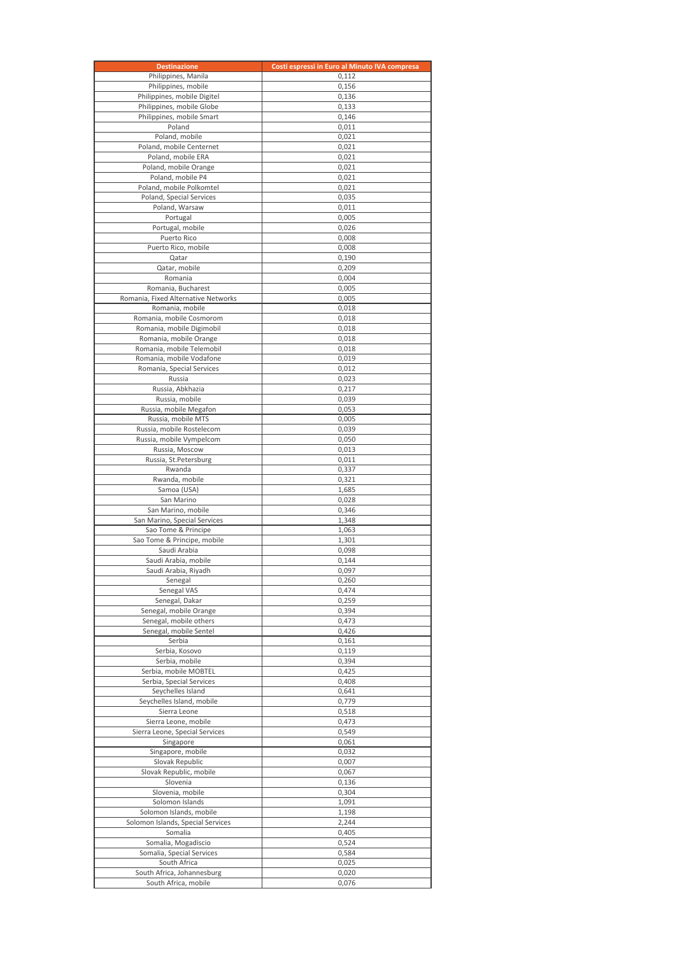| <b>Destinazione</b>                                    | Costi espressi in Euro al Minuto IVA compresa |
|--------------------------------------------------------|-----------------------------------------------|
| Philippines, Manila                                    | 0,112                                         |
| Philippines, mobile                                    | 0,156                                         |
| Philippines, mobile Digitel                            | 0,136                                         |
| Philippines, mobile Globe<br>Philippines, mobile Smart | 0,133<br>0.146                                |
| Poland                                                 | 0,011                                         |
| Poland, mobile                                         | 0,021                                         |
| Poland, mobile Centernet                               | 0,021                                         |
| Poland, mobile ERA                                     | 0,021                                         |
| Poland, mobile Orange                                  | 0,021                                         |
| Poland, mobile P4<br>Poland, mobile Polkomtel          | 0,021<br>0,021                                |
| Poland, Special Services                               | 0,035                                         |
| Poland, Warsaw                                         | 0,011                                         |
| Portugal                                               | 0,005                                         |
| Portugal, mobile                                       | 0,026                                         |
| Puerto Rico                                            | 0,008                                         |
| Puerto Rico, mobile<br>Qatar                           | 0,008<br>0,190                                |
| Qatar, mobile                                          | 0,209                                         |
| Romania                                                | 0,004                                         |
| Romania, Bucharest                                     | 0,005                                         |
| Romania, Fixed Alternative Networks                    | 0,005                                         |
| Romania, mobile                                        | 0,018                                         |
| Romania, mobile Cosmorom                               | 0,018                                         |
| Romania, mobile Digimobil<br>Romania, mobile Orange    | 0,018                                         |
| Romania, mobile Telemobil                              | 0,018<br>0,018                                |
| Romania, mobile Vodafone                               | 0,019                                         |
| Romania, Special Services                              | 0,012                                         |
| Russia                                                 | 0,023                                         |
| Russia, Abkhazia                                       | 0,217                                         |
| Russia, mobile                                         | 0,039                                         |
| Russia, mobile Megafon<br>Russia, mobile MTS           | 0,053<br>0,005                                |
| Russia, mobile Rostelecom                              | 0,039                                         |
| Russia, mobile Vympelcom                               | 0,050                                         |
| Russia, Moscow                                         | 0,013                                         |
| Russia, St.Petersburg                                  | 0,011                                         |
| Rwanda                                                 | 0,337                                         |
| Rwanda, mobile<br>Samoa (USA)                          | 0,321                                         |
| San Marino                                             | 1,685<br>0,028                                |
| San Marino, mobile                                     | 0,346                                         |
| San Marino, Special Services                           | 1,348                                         |
| Sao Tome & Principe                                    | 1,063                                         |
| Sao Tome & Principe, mobile                            | 1,301                                         |
| Saudi Arabia                                           | 0,098                                         |
| Saudi Arabia, mobile<br>Saudi Arabia, Riyadh           | 0,144<br>0,097                                |
| Senegal                                                | 0,260                                         |
| Senegal VAS                                            | 0,474                                         |
| Senegal, Dakar                                         | 0,259                                         |
| Senegal, mobile Orange                                 | 0,394                                         |
| Senegal, mobile others                                 | 0,473                                         |
| Senegal, mobile Sentel<br>Serbia                       | 0,426<br>0,161                                |
| Serbia, Kosovo                                         | 0,119                                         |
| Serbia, mobile                                         | 0,394                                         |
| Serbia, mobile MOBTEL                                  | 0,425                                         |
| Serbia, Special Services                               | 0,408                                         |
| Seychelles Island                                      | 0,641                                         |
| Seychelles Island, mobile<br>Sierra Leone              | 0,779                                         |
| Sierra Leone, mobile                                   | 0,518<br>0,473                                |
| Sierra Leone, Special Services                         | 0,549                                         |
| Singapore                                              | 0,061                                         |
| Singapore, mobile                                      | 0,032                                         |
| Slovak Republic                                        | 0,007                                         |
| Slovak Republic, mobile                                | 0,067                                         |
| Slovenia<br>Slovenia, mobile                           | 0,136<br>0,304                                |
| Solomon Islands                                        | 1,091                                         |
| Solomon Islands, mobile                                | 1,198                                         |
| Solomon Islands, Special Services                      | 2,244                                         |
| Somalia                                                | 0,405                                         |
| Somalia, Mogadiscio                                    | 0,524                                         |
| Somalia, Special Services<br>South Africa              | 0,584<br>0,025                                |
| South Africa, Johannesburg                             | 0,020                                         |
| South Africa, mobile                                   | 0,076                                         |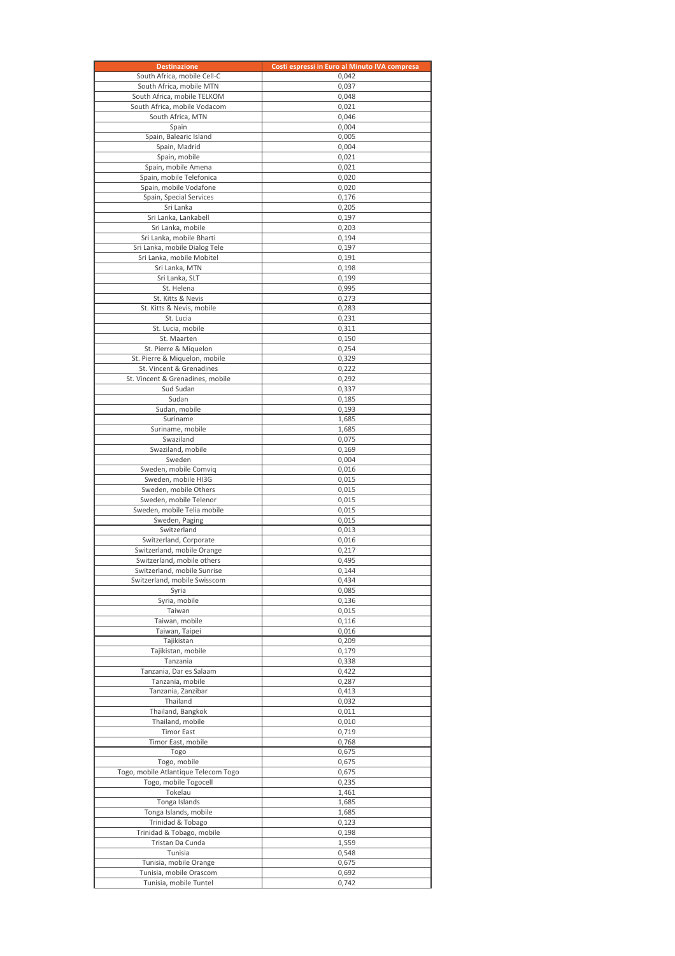| <b>Destinazione</b>                                          | Costi espressi in Euro al Minuto IVA compresa |
|--------------------------------------------------------------|-----------------------------------------------|
| South Africa, mobile Cell-C                                  | 0,042                                         |
| South Africa, mobile MTN                                     | 0,037                                         |
| South Africa, mobile TELKOM                                  | 0,048                                         |
| South Africa, mobile Vodacom                                 | 0,021                                         |
| South Africa, MTN                                            | 0,046                                         |
| Spain<br>Spain, Balearic Island                              | 0,004<br>0,005                                |
| Spain, Madrid                                                | 0,004                                         |
| Spain, mobile                                                | 0,021                                         |
| Spain, mobile Amena                                          | 0,021                                         |
| Spain, mobile Telefonica                                     | 0,020                                         |
| Spain, mobile Vodafone                                       | 0,020                                         |
| Spain, Special Services                                      | 0.176                                         |
| Sri Lanka                                                    | 0,205                                         |
| Sri Lanka, Lankabell                                         | 0,197                                         |
| Sri Lanka, mobile                                            | 0,203                                         |
| Sri Lanka, mobile Bharti<br>Sri Lanka, mobile Dialog Tele    | 0,194<br>0,197                                |
| Sri Lanka, mobile Mobitel                                    | 0,191                                         |
| Sri Lanka, MTN                                               | 0,198                                         |
| Sri Lanka, SLT                                               | 0,199                                         |
| St. Helena                                                   | 0,995                                         |
| St. Kitts & Nevis                                            | 0,273                                         |
| St. Kitts & Nevis, mobile                                    | 0,283                                         |
| St. Lucia                                                    | 0,231                                         |
| St. Lucia, mobile                                            | 0,311                                         |
| St. Maarten                                                  | 0,150                                         |
| St. Pierre & Miguelon                                        | 0,254                                         |
| St. Pierre & Miquelon, mobile                                | 0,329                                         |
| St. Vincent & Grenadines<br>St. Vincent & Grenadines, mobile | 0,222<br>0,292                                |
| Sud Sudan                                                    | 0,337                                         |
| Sudan                                                        | 0,185                                         |
| Sudan, mobile                                                | 0,193                                         |
| Suriname                                                     | 1,685                                         |
| Suriname, mobile                                             | 1,685                                         |
| Swaziland                                                    | 0,075                                         |
| Swaziland, mobile                                            | 0,169                                         |
| Sweden                                                       | 0,004                                         |
| Sweden, mobile Comvig                                        | 0,016                                         |
| Sweden, mobile HI3G                                          | 0,015                                         |
| Sweden, mobile Others                                        | 0,015                                         |
| Sweden, mobile Telenor<br>Sweden, mobile Telia mobile        | 0,015<br>0,015                                |
| Sweden, Paging                                               | 0,015                                         |
| Switzerland                                                  | 0,013                                         |
| Switzerland, Corporate                                       | 0,016                                         |
| Switzerland, mobile Orange                                   | 0,217                                         |
| Switzerland, mobile others                                   | 0,495                                         |
| Switzerland, mobile Sunrise                                  | 0,144                                         |
| Switzerland, mobile Swisscom                                 | 0,434                                         |
| Syria                                                        | 0,085                                         |
| Syria, mobile                                                | 0,136                                         |
| Taiwan<br>Taiwan, mobile                                     | 0,015                                         |
| Taiwan, Taipei                                               | 0,116<br>0,016                                |
| Tajikistan                                                   | 0,209                                         |
| Tajikistan, mobile                                           | 0,179                                         |
| Tanzania                                                     | 0,338                                         |
| Tanzania, Dar es Salaam                                      | 0,422                                         |
| Tanzania, mobile                                             | 0,287                                         |
| Tanzania, Zanzibar                                           | 0,413                                         |
| Thailand                                                     | 0,032                                         |
| Thailand, Bangkok                                            | 0,011                                         |
| Thailand, mobile                                             | 0,010                                         |
| <b>Timor East</b><br>Timor East, mobile                      | 0,719<br>0,768                                |
| Togo                                                         | 0,675                                         |
| Togo, mobile                                                 | 0,675                                         |
| Togo, mobile Atlantique Telecom Togo                         | 0,675                                         |
| Togo, mobile Togocell                                        | 0,235                                         |
| Tokelau                                                      | 1,461                                         |
| Tonga Islands                                                | 1,685                                         |
| Tonga Islands, mobile                                        | 1,685                                         |
| Trinidad & Tobago                                            | 0,123                                         |
| Trinidad & Tobago, mobile                                    | 0,198                                         |
| Tristan Da Cunda<br>Tunisia                                  | 1,559<br>0,548                                |
| Tunisia, mobile Orange                                       | 0,675                                         |
| Tunisia, mobile Orascom                                      | 0,692                                         |
| Tunisia, mobile Tuntel                                       | 0,742                                         |